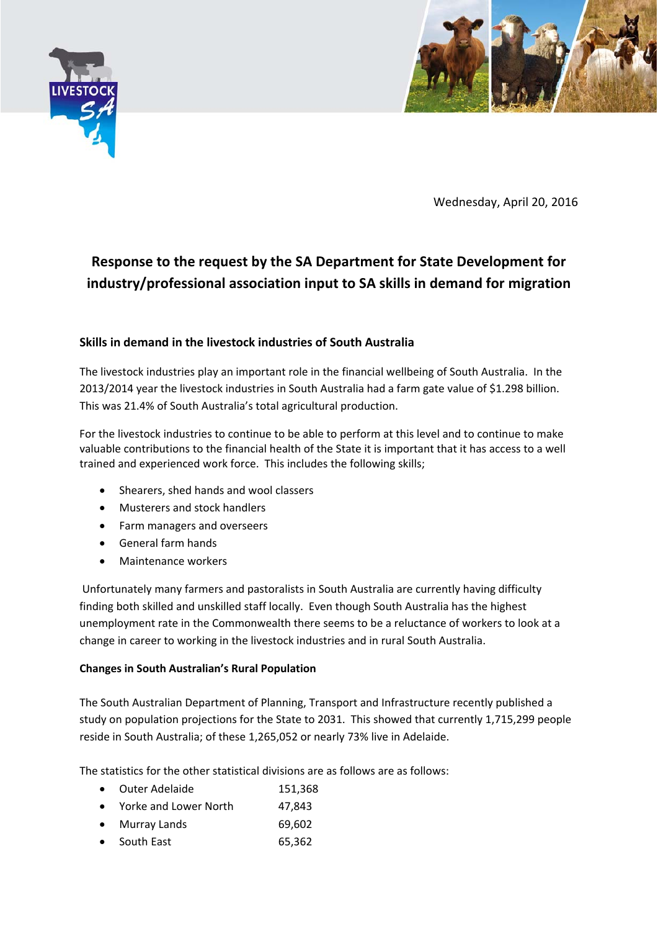



Wednesday, April 20, 2016

# **Response to the request by the SA Department for State Development for industry/professional association input to SA skills in demand for migration**

## **Skills in demand in the livestock industries of South Australia**

The livestock industries play an important role in the financial wellbeing of South Australia. In the 2013/2014 year the livestock industries in South Australia had a farm gate value of \$1.298 billion. This was 21.4% of South Australia's total agricultural production.

For the livestock industries to continue to be able to perform at this level and to continue to make valuable contributions to the financial health of the State it is important that it has access to a well trained and experienced work force. This includes the following skills;

- Shearers, shed hands and wool classers
- Musterers and stock handlers
- Farm managers and overseers
- General farm hands
- Maintenance workers

Unfortunately many farmers and pastoralists in South Australia are currently having difficulty finding both skilled and unskilled staff locally. Even though South Australia has the highest unemployment rate in the Commonwealth there seems to be a reluctance of workers to look at a change in career to working in the livestock industries and in rural South Australia.

## **Changes in South Australian's Rural Population**

The South Australian Department of Planning, Transport and Infrastructure recently published a study on population projections for the State to 2031. This showed that currently 1,715,299 people reside in South Australia; of these 1,265,052 or nearly 73% live in Adelaide.

The statistics for the other statistical divisions are as follows are as follows:

- Outer Adelaide 151,368
- Yorke and Lower North 47.843
- Murray Lands 69,602
- South East 65,362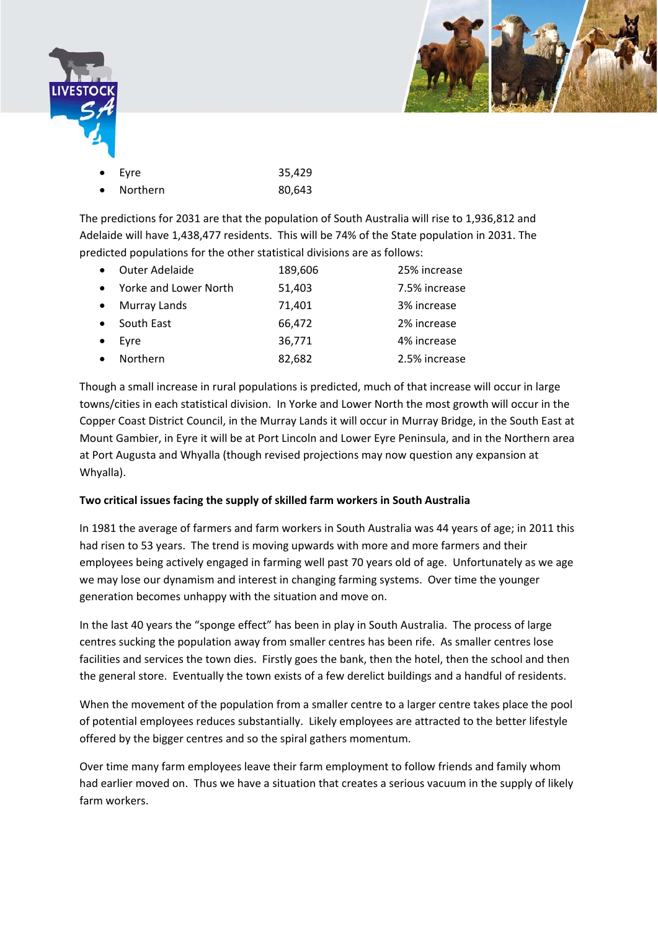



| $\bullet$ Eyre | 35,429 |
|----------------|--------|
| • Northern     | 80,643 |

The predictions for 2031 are that the population of South Australia will rise to 1,936,812 and Adelaide will have 1,438,477 residents. This will be 74% of the State population in 2031. The predicted populations for the other statistical divisions are as follows:

|           | <b>Outer Adelaide</b> | 189,606 | 25% increase  |
|-----------|-----------------------|---------|---------------|
| $\bullet$ | Yorke and Lower North | 51,403  | 7.5% increase |
| $\bullet$ | Murray Lands          | 71,401  | 3% increase   |
|           | South East            | 66,472  | 2% increase   |
|           | Evre                  | 36,771  | 4% increase   |
|           | Northern              | 82,682  | 2.5% increase |

Though a small increase in rural populations is predicted, much of that increase will occur in large towns/cities in each statistical division. In Yorke and Lower North the most growth will occur in the Copper Coast District Council, in the Murray Lands it will occur in Murray Bridge, in the South East at Mount Gambier, in Eyre it will be at Port Lincoln and Lower Eyre Peninsula, and in the Northern area at Port Augusta and Whyalla (though revised projections may now question any expansion at Whyalla).

## **Two critical issues facing the supply of skilled farm workers in South Australia**

In 1981 the average of farmers and farm workers in South Australia was 44 years of age; in 2011 this had risen to 53 years. The trend is moving upwards with more and more farmers and their employees being actively engaged in farming well past 70 years old of age. Unfortunately as we age we may lose our dynamism and interest in changing farming systems. Over time the younger generation becomes unhappy with the situation and move on.

In the last 40 years the "sponge effect" has been in play in South Australia. The process of large centres sucking the population away from smaller centres has been rife. As smaller centres lose facilities and services the town dies. Firstly goes the bank, then the hotel, then the school and then the general store. Eventually the town exists of a few derelict buildings and a handful of residents.

When the movement of the population from a smaller centre to a larger centre takes place the pool of potential employees reduces substantially. Likely employees are attracted to the better lifestyle offered by the bigger centres and so the spiral gathers momentum.

Over time many farm employees leave their farm employment to follow friends and family whom had earlier moved on. Thus we have a situation that creates a serious vacuum in the supply of likely farm workers.